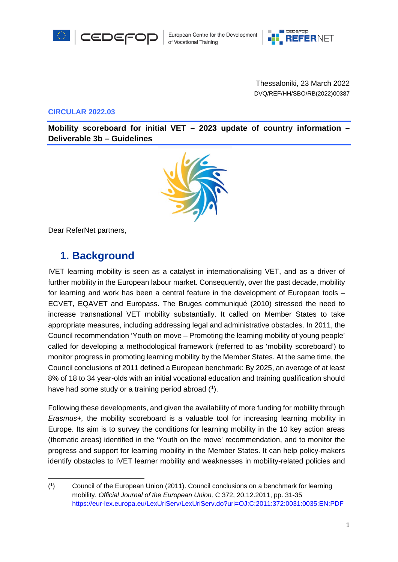



Thessaloniki, 23 March 2022 DVQ/REF/HH/SBO/RB(2022)00387

**CIRCULAR 2022.03**

**Mobility scoreboard for initial VET – 2023 update of country information – Deliverable 3b – Guidelines**



Dear ReferNet partners,

# **1. Background**

IVET learning mobility is seen as a catalyst in internationalising VET, and as a driver of further mobility in the European labour market. Consequently, over the past decade, mobility for learning and work has been a central feature in the development of European tools – ECVET, EQAVET and Europass. The Bruges communiqué (2010) stressed the need to increase transnational VET mobility substantially. It called on Member States to take appropriate measures, including addressing legal and administrative obstacles. In 2011, the Council recommendation 'Youth on move – Promoting the learning mobility of young people' called for developing a methodological framework (referred to as 'mobility scoreboard') to monitor progress in promoting learning mobility by the Member States. At the same time, the Council conclusions of 2011 defined a European benchmark: By 2025, an average of at least 8% of 18 to 34 year-olds with an initial vocational education and training qualification should have had some study or a training period abroad ([1\)](#page-0-0).

Following these developments, and given the availability of more funding for mobility through *Erasmus+,* the mobility scoreboard is a valuable tool for increasing learning mobility in Europe. Its aim is to survey the conditions for learning mobility in the 10 key action areas (thematic areas) identified in the 'Youth on the move' recommendation, and to monitor the progress and support for learning mobility in the Member States. It can help policy-makers identify obstacles to IVET learner mobility and weaknesses in mobility-related policies and

<span id="page-0-0"></span> $(1)$ 1) Council of the European Union (2011). Council conclusions on a benchmark for learning mobility. *Official Journal of the European Union,* C 372, 20.12.2011, pp. 31-35 <https://eur-lex.europa.eu/LexUriServ/LexUriServ.do?uri=OJ:C:2011:372:0031:0035:EN:PDF>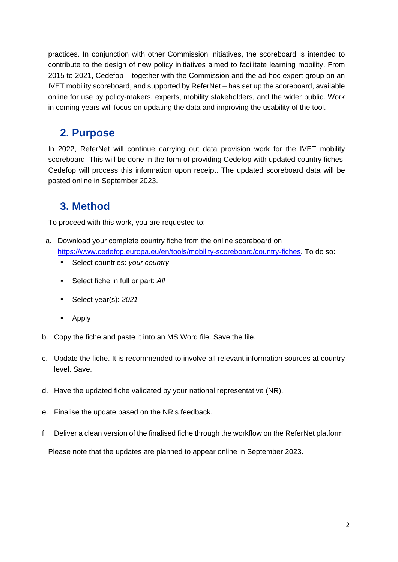practices. In conjunction with other Commission initiatives, the scoreboard is intended to contribute to the design of new policy initiatives aimed to facilitate learning mobility. From 2015 to 2021, Cedefop – together with the Commission and the ad hoc expert group on an IVET mobility scoreboard, and supported by ReferNet – has set up the scoreboard, available online for use by policy-makers, experts, mobility stakeholders, and the wider public. Work in coming years will focus on updating the data and improving the usability of the tool.

#### **2. Purpose**

In 2022, ReferNet will continue carrying out data provision work for the IVET mobility scoreboard. This will be done in the form of providing Cedefop with updated country fiches. Cedefop will process this information upon receipt. The updated scoreboard data will be posted online in September 2023.

### **3. Method**

To proceed with this work, you are requested to:

- a. Download your complete country fiche from the online scoreboard on [https://www.cedefop.europa.eu/en/tools/mobility-scoreboard/country-fiches.](https://www.cedefop.europa.eu/en/tools/mobility-scoreboard/country-fiches) To do so:
	- Select countries: *your country*
	- **Select fiche in full or part: All**
	- Select year(s): *2021*
	- **-** Apply
- b. Copy the fiche and paste it into an MS Word file. Save the file.
- c. Update the fiche. It is recommended to involve all relevant information sources at country level. Save.
- d. Have the updated fiche validated by your national representative (NR).
- e. Finalise the update based on the NR's feedback.
- f. Deliver a clean version of the finalised fiche through the workflow on the ReferNet platform.

Please note that the updates are planned to appear online in September 2023.